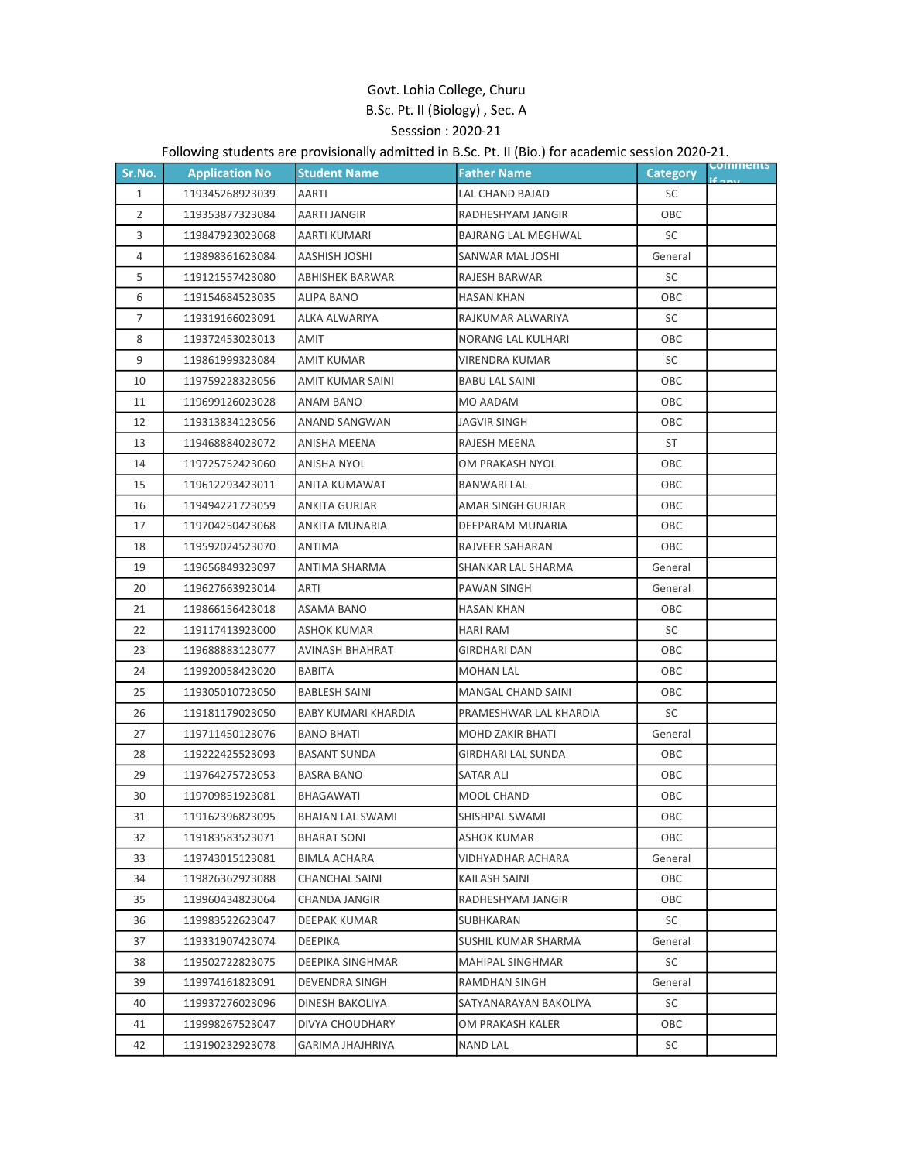## Govt. Lohia College, Churu B.Sc. Pt. II (Biology) , Sec. A Sesssion : 2020-21

## Following students are provisionally admitted in B.Sc. Pt. II (Bio.) for academic session 2020-21.

| Sr.No.         | <b>Application No</b> | <b>Student Name</b>  | <b>Father Name</b>         | <b>Category</b> | <b>Comments</b> |
|----------------|-----------------------|----------------------|----------------------------|-----------------|-----------------|
| $\mathbf{1}$   | 119345268923039       | AARTI                | LAL CHAND BAJAD            | SC              |                 |
| 2              | 119353877323084       | AARTI JANGIR         | RADHESHYAM JANGIR          | OBC             |                 |
| 3              | 119847923023068       | AARTI KUMARI         | <b>BAJRANG LAL MEGHWAL</b> | SC              |                 |
| 4              | 119898361623084       | <b>AASHISH JOSHI</b> | SANWAR MAL JOSHI           | General         |                 |
| 5              | 119121557423080       | ABHISHEK BARWAR      | RAJESH BARWAR              | SC              |                 |
| 6              | 119154684523035       | ALIPA BANO           | HASAN KHAN                 | OBC             |                 |
| $\overline{7}$ | 119319166023091       | ALKA ALWARIYA        | RAJKUMAR ALWARIYA          | SC              |                 |
| 8              | 119372453023013       | AMIT                 | NORANG LAL KULHARI         | OBC             |                 |
| 9              | 119861999323084       | <b>AMIT KUMAR</b>    | VIRENDRA KUMAR             | SC              |                 |
| 10             | 119759228323056       | AMIT KUMAR SAINI     | <b>BABU LAL SAINI</b>      | OBC             |                 |
| 11             | 119699126023028       | ANAM BANO            | MO AADAM                   | OBC             |                 |
| 12             | 119313834123056       | ANAND SANGWAN        | JAGVIR SINGH               | OBC             |                 |
| 13             | 119468884023072       | ANISHA MEENA         | RAJESH MEENA               | ST              |                 |
| 14             | 119725752423060       | ANISHA NYOL          | OM PRAKASH NYOL            | OBC             |                 |
| 15             | 119612293423011       | ANITA KUMAWAT        | <b>BANWARI LAL</b>         | OBC             |                 |
| 16             | 119494221723059       | ANKITA GURJAR        | AMAR SINGH GURJAR          | OBC             |                 |
| 17             | 119704250423068       | ANKITA MUNARIA       | DEEPARAM MUNARIA           | OBC             |                 |
| 18             | 119592024523070       | ANTIMA               | RAJVEER SAHARAN            | OBC             |                 |
| 19             | 119656849323097       | ANTIMA SHARMA        | SHANKAR LAL SHARMA         | General         |                 |
| 20             | 119627663923014       | ARTI                 | PAWAN SINGH                | General         |                 |
| 21             | 119866156423018       | ASAMA BANO           | HASAN KHAN                 | OBC             |                 |
| 22             | 119117413923000       | ASHOK KUMAR          | <b>HARI RAM</b>            | SC              |                 |
| 23             | 119688883123077       | AVINASH BHAHRAT      | <b>GIRDHARI DAN</b>        | OBC             |                 |
| 24             | 119920058423020       | BABITA               | <b>MOHAN LAL</b>           | ОВС             |                 |
| 25             | 119305010723050       | <b>BABLESH SAINI</b> | MANGAL CHAND SAINI         | OBC             |                 |
| 26             | 119181179023050       | BABY KUMARI KHARDIA  | PRAMESHWAR LAL KHARDIA     | SC              |                 |
| 27             | 119711450123076       | <b>BANO BHATI</b>    | <b>MOHD ZAKIR BHATI</b>    | General         |                 |
| 28             | 119222425523093       | <b>BASANT SUNDA</b>  | <b>GIRDHARI LAL SUNDA</b>  | OBC             |                 |
| 29             | 119764275723053       | <b>BASRA BANO</b>    | SATAR ALI                  | <b>OBC</b>      |                 |
| 30             | 119709851923081       | <b>BHAGAWATI</b>     | MOOL CHAND                 | ОВС             |                 |
| 31             | 119162396823095       | BHAJAN LAL SWAMI     | SHISHPAL SWAMI             | OBC             |                 |
| 32             | 119183583523071       | BHARAT SONI          | ASHOK KUMAR                | OBC             |                 |
| 33             | 119743015123081       | <b>BIMLA ACHARA</b>  | <b>VIDHYADHAR ACHARA</b>   | General         |                 |
| 34             | 119826362923088       | CHANCHAL SAINI       | KAILASH SAINI              | OBC             |                 |
| 35             | 119960434823064       | CHANDA JANGIR        | RADHESHYAM JANGIR          | OBC             |                 |
| 36             | 119983522623047       | DEEPAK KUMAR         | SUBHKARAN                  | SC              |                 |
| 37             | 119331907423074       | DEEPIKA              | SUSHIL KUMAR SHARMA        | General         |                 |
| 38             | 119502722823075       | DEEPIKA SINGHMAR     | MAHIPAL SINGHMAR           | SC              |                 |
| 39             | 119974161823091       | DEVENDRA SINGH       | <b>RAMDHAN SINGH</b>       | General         |                 |
| 40             | 119937276023096       | DINESH BAKOLIYA      | SATYANARAYAN BAKOLIYA      | SC              |                 |
| 41             | 119998267523047       | DIVYA CHOUDHARY      | OM PRAKASH KALER           | ОВС             |                 |
| 42             | 119190232923078       | GARIMA JHAJHRIYA     | NAND LAL                   | SC              |                 |